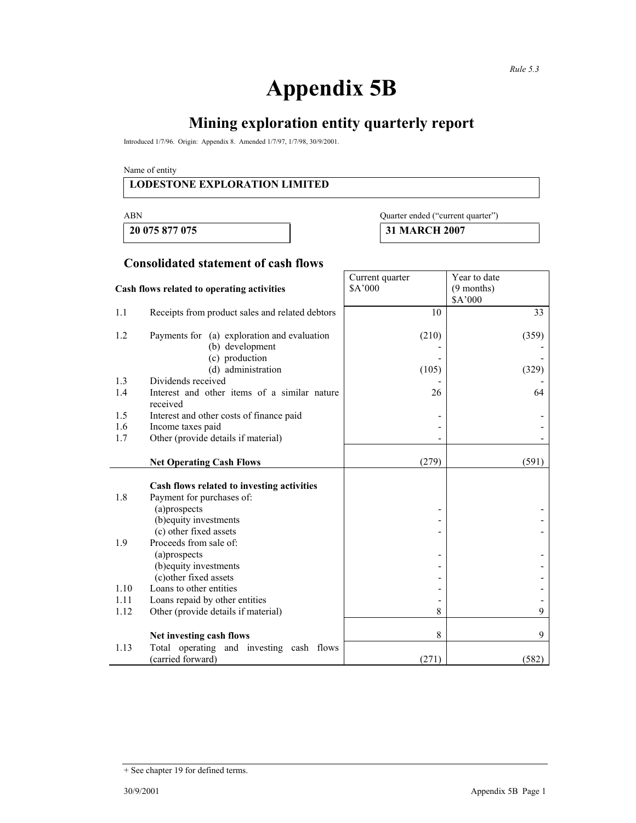# **Appendix 5B**

# **Mining exploration entity quarterly report**

Introduced 1/7/96. Origin: Appendix 8. Amended 1/7/97, 1/7/98, 30/9/2001.

Name of entity

#### **LODESTONE EXPLORATION LIMITED**

**20 075 877 075 31 MARCH 2007** 

# ABN Quarter ended ("current quarter")

#### **Consolidated statement of cash flows**

| Cash flows related to operating activities |                                                                                | Current quarter<br>\$A'000 | Year to date<br>$(9$ months) |
|--------------------------------------------|--------------------------------------------------------------------------------|----------------------------|------------------------------|
|                                            |                                                                                |                            | \$A'000                      |
| 1.1                                        | Receipts from product sales and related debtors                                | 10                         | 33                           |
| 1.2                                        | Payments for (a) exploration and evaluation<br>(b) development                 | (210)                      | (359)                        |
|                                            | (c) production                                                                 |                            |                              |
|                                            | (d) administration                                                             | (105)                      | (329)                        |
| 1.3<br>1.4                                 | Dividends received<br>Interest and other items of a similar nature<br>received | 26                         | 64                           |
| 1.5                                        | Interest and other costs of finance paid                                       |                            |                              |
| 1.6                                        | Income taxes paid                                                              |                            |                              |
| 1.7                                        | Other (provide details if material)                                            |                            |                              |
|                                            | <b>Net Operating Cash Flows</b>                                                | (279)                      | (591)                        |
|                                            | Cash flows related to investing activities                                     |                            |                              |
| 1.8                                        | Payment for purchases of:                                                      |                            |                              |
|                                            | (a)prospects                                                                   |                            |                              |
|                                            | (b) equity investments                                                         |                            |                              |
|                                            | (c) other fixed assets                                                         |                            |                              |
| 1.9                                        | Proceeds from sale of:<br>(a)prospects                                         |                            |                              |
|                                            | (b) equity investments                                                         |                            |                              |
|                                            | (c) other fixed assets                                                         |                            |                              |
| 1.10                                       | Loans to other entities                                                        |                            |                              |
| 1.11                                       | Loans repaid by other entities                                                 |                            |                              |
| 1.12                                       | Other (provide details if material)                                            | 8                          | 9                            |
|                                            | Net investing cash flows                                                       | 8                          | 9                            |
| 1.13                                       | Total operating and investing cash flows<br>(carried forward)                  | (271)                      | (582)                        |

<sup>+</sup> See chapter 19 for defined terms.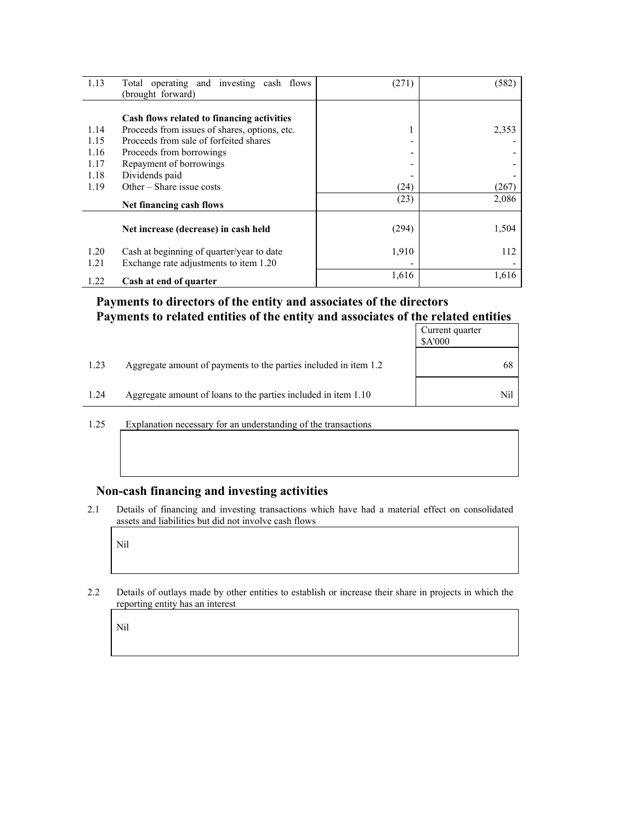| 1.13 | Total operating and investing cash flows<br>(brought forward) | (271) | (582) |
|------|---------------------------------------------------------------|-------|-------|
|      |                                                               |       |       |
|      | Cash flows related to financing activities                    |       |       |
| 1.14 | Proceeds from issues of shares, options, etc.                 |       | 2,353 |
| 1.15 | Proceeds from sale of forfeited shares                        |       |       |
| 1.16 | Proceeds from borrowings                                      |       |       |
| 1.17 | Repayment of borrowings                                       |       |       |
| 1.18 | Dividends paid                                                |       |       |
| 1.19 | Other $-$ Share issue costs                                   | (24)  | (267) |
|      | Net financing cash flows                                      | (23)  | 2,086 |
|      | Net increase (decrease) in cash held                          | (294) | 1,504 |
| 1.20 | Cash at beginning of quarter/year to date                     | 1,910 | 112   |
| 1.21 | Exchange rate adjustments to item 1.20                        |       |       |
| 1.22 | Cash at end of quarter                                        | 1,616 | 1,616 |

### **Payments to directors of the entity and associates of the directors Payments to related entities of the entity and associates of the related entities**

|      |                                                                  | Current quarter<br><b>SA'000</b> |
|------|------------------------------------------------------------------|----------------------------------|
| 1.23 | Aggregate amount of payments to the parties included in item 1.2 | 68                               |
| 1.24 | Aggregate amount of loans to the parties included in item 1.10   | Nil                              |

1.25 Explanation necessary for an understanding of the transactions

#### **Non-cash financing and investing activities**

2.1 Details of financing and investing transactions which have had a material effect on consolidated assets and liabilities but did not involve cash flows

Nil

2.2 Details of outlays made by other entities to establish or increase their share in projects in which the reporting entity has an interest

Nil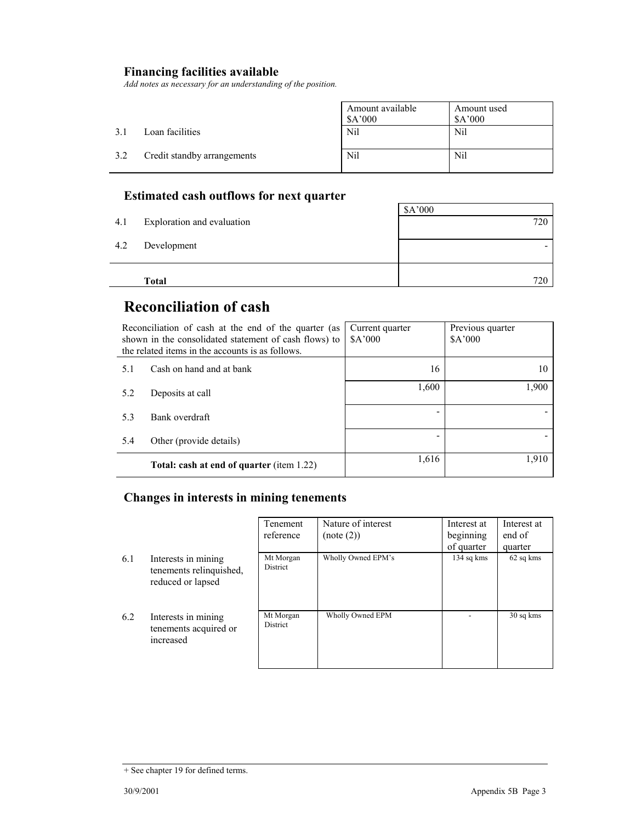## **Financing facilities available**

*Add notes as necessary for an understanding of the position.* 

|      |                             | Amount available<br>\$A'000 | Amount used<br>\$A'000 |
|------|-----------------------------|-----------------------------|------------------------|
| -3.1 | Loan facilities             | Nil                         | Nil                    |
| 3.2  | Credit standby arrangements | Nil                         | Nil                    |

## **Estimated cash outflows for next quarter**

|     | Total                      | 720     |
|-----|----------------------------|---------|
| 4.2 | Development                |         |
| 4.1 | Exploration and evaluation | 720     |
|     |                            | \$A'000 |

## **Reconciliation of cash**

| Reconciliation of cash at the end of the quarter (as<br>shown in the consolidated statement of cash flows) to<br>the related items in the accounts is as follows. |                                                  | Current quarter<br>A'000 | Previous quarter<br>\$A'000 |
|-------------------------------------------------------------------------------------------------------------------------------------------------------------------|--------------------------------------------------|--------------------------|-----------------------------|
| 5.1                                                                                                                                                               | Cash on hand and at bank                         | 16                       | 10                          |
| 5.2                                                                                                                                                               | Deposits at call                                 | 1,600                    | 1,900                       |
| 5.3                                                                                                                                                               | Bank overdraft                                   |                          |                             |
| 5.4                                                                                                                                                               | Other (provide details)                          |                          |                             |
|                                                                                                                                                                   | <b>Total: cash at end of quarter (item 1.22)</b> | 1,616                    | 1,910                       |

### **Changes in interests in mining tenements**

|     |                                                                     | Tenement<br>reference | Nature of interest<br>(note (2)) | Interest at<br>beginning<br>of quarter | Interest at<br>end of<br>quarter |
|-----|---------------------------------------------------------------------|-----------------------|----------------------------------|----------------------------------------|----------------------------------|
| 6.1 | Interests in mining<br>tenements relinquished,<br>reduced or lapsed | Mt Morgan<br>District | Wholly Owned EPM's               | 134 sq kms                             | 62 sq kms                        |
| 6.2 | Interests in mining<br>tenements acquired or<br>increased           | Mt Morgan<br>District | Wholly Owned EPM                 |                                        | 30 sq kms                        |

<sup>+</sup> See chapter 19 for defined terms.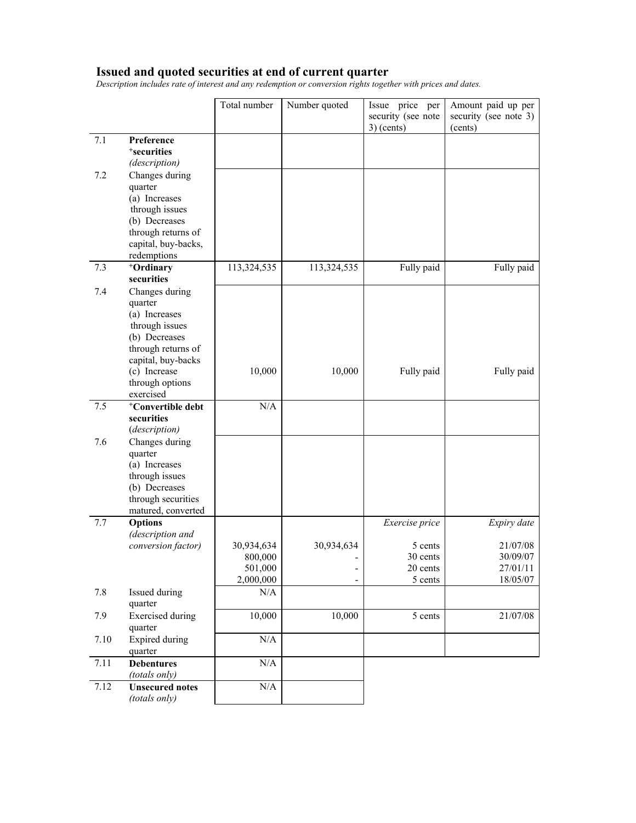#### **Issued and quoted securities at end of current quarter**

*Description includes rate of interest and any redemption or conversion rights together with prices and dates.* 

|      |                                                                                                                           | Total number                                  | Number quoted                          | Issue price per<br>security (see note<br>$3)$ (cents) | Amount paid up per<br>security (see note 3)<br>(cents) |
|------|---------------------------------------------------------------------------------------------------------------------------|-----------------------------------------------|----------------------------------------|-------------------------------------------------------|--------------------------------------------------------|
| 7.1  | Preference<br><sup>+</sup> securities                                                                                     |                                               |                                        |                                                       |                                                        |
| 7.2  | (description)<br>Changes during<br>quarter<br>(a) Increases<br>through issues<br>(b) Decreases                            |                                               |                                        |                                                       |                                                        |
|      | through returns of<br>capital, buy-backs,<br>redemptions                                                                  |                                               |                                        |                                                       |                                                        |
| 7.3  | <sup>+</sup> Ordinary<br>securities                                                                                       | 113,324,535                                   | 113,324,535                            | Fully paid                                            | Fully paid                                             |
| 7.4  | Changes during<br>quarter<br>(a) Increases<br>through issues<br>(b) Decreases<br>through returns of<br>capital, buy-backs |                                               |                                        |                                                       |                                                        |
|      | (c) Increase<br>through options<br>exercised                                                                              | 10,000                                        | 10,000                                 | Fully paid                                            | Fully paid                                             |
| 7.5  | <sup>+</sup> Convertible debt<br>securities<br>(description)                                                              | N/A                                           |                                        |                                                       |                                                        |
| 7.6  | Changes during<br>quarter<br>(a) Increases<br>through issues<br>(b) Decreases<br>through securities<br>matured, converted |                                               |                                        |                                                       |                                                        |
| 7.7  | <b>Options</b><br>(description and                                                                                        |                                               |                                        | Exercise price                                        | Expiry date                                            |
|      | conversion factor)                                                                                                        | 30,934,634<br>800,000<br>501,000<br>2,000,000 | 30,934,634<br>$\overline{\phantom{0}}$ | 5 cents<br>30 cents<br>20 cents<br>5 cents            | 21/07/08<br>30/09/07<br>27/01/11<br>18/05/07           |
| 7.8  | Issued during<br>quarter                                                                                                  | N/A                                           |                                        |                                                       |                                                        |
| 7.9  | <b>Exercised</b> during<br>quarter                                                                                        | 10,000                                        | 10,000                                 | 5 cents                                               | 21/07/08                                               |
| 7.10 | <b>Expired during</b><br>quarter                                                                                          | $\rm N/A$                                     |                                        |                                                       |                                                        |
| 7.11 | <b>Debentures</b><br>(totals only)                                                                                        | $\rm N/A$                                     |                                        |                                                       |                                                        |
| 7.12 | <b>Unsecured notes</b><br>(totals only)                                                                                   | $\rm N/A$                                     |                                        |                                                       |                                                        |